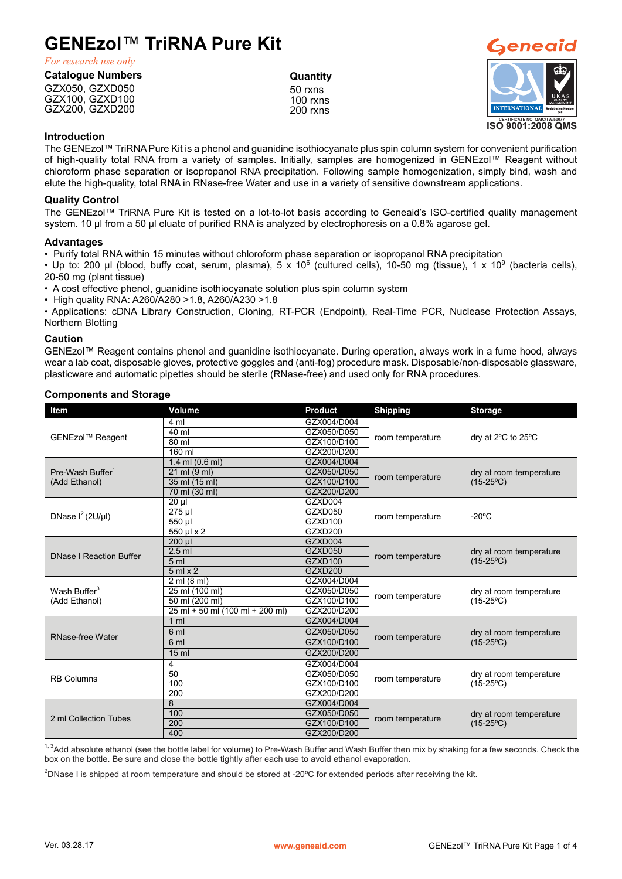# **GENEzol**™ **TriRNA Pure Kit**

*For research use only*

#### **Catalogue Numbers**

GZX050, GZXD050 GZX100, GZXD100 GZX200, GZXD200

#### **Quantity** 50 rxns 100 rxns 200 rxns



#### **Introduction**

The GENEzol™ TriRNA Pure Kit is a phenol and guanidine isothiocyanate plus spin column system for convenient purification of high-quality total RNA from a variety of samples. Initially, samples are homogenized in GENEzol™ Reagent without chloroform phase separation or isopropanol RNA precipitation. Following sample homogenization, simply bind, wash and elute the high-quality, total RNA in RNase-free Water and use in a variety of sensitive downstream applications.

#### **Quality Control**

The GENEzol™ TriRNA Pure Kit is tested on a lot-to-lot basis according to Geneaid's ISO-certified quality management system. 10 µl from a 50 µl eluate of purified RNA is analyzed by electrophoresis on a 0.8% agarose gel.

#### **Advantages**

• Purify total RNA within 15 minutes without chloroform phase separation or isopropanol RNA precipitation

• Up to: 200 µl (blood, buffy coat, serum, plasma), 5 x 10 $^6$  (cultured cells), 10-50 mg (tissue), 1 x 10 $^9$  (bacteria cells), 20-50 mg (plant tissue)

• A cost effective phenol, guanidine isothiocyanate solution plus spin column system

• High quality RNA: A260/A280 >1.8, A260/A230 >1.8

• Applications: cDNA Library Construction, Cloning, RT-PCR (Endpoint), Real-Time PCR, Nuclease Protection Assays, Northern Blotting

#### **Caution**

GENEzol™ Reagent contains phenol and guanidine isothiocyanate. During operation, always work in a fume hood, always wear a lab coat, disposable gloves, protective goggles and (anti-fog) procedure mask. Disposable/non-disposable glassware, plasticware and automatic pipettes should be sterile (RNase-free) and used only for RNA procedures.

| Item                           | Volume                          | Product     | <b>Shipping</b>  | <b>Storage</b>                                |  |
|--------------------------------|---------------------------------|-------------|------------------|-----------------------------------------------|--|
| GENEzol™ Reagent               | 4 ml                            | GZX004/D004 |                  |                                               |  |
|                                | 40 ml                           | GZX050/D050 | room temperature |                                               |  |
|                                | 80 ml                           | GZX100/D100 |                  | dry at $2^{\circ}$ C to $25^{\circ}$ C        |  |
|                                | 160 ml                          | GZX200/D200 |                  |                                               |  |
|                                | 1.4 ml $(0.6$ ml)               | GZX004/D004 |                  | dry at room temperature<br>$(15-25^{\circ}C)$ |  |
| Pre-Wash Buffer <sup>1</sup>   | 21 ml (9 ml)                    | GZX050/D050 | room temperature |                                               |  |
| (Add Ethanol)                  | 35 ml (15 ml)                   | GZX100/D100 |                  |                                               |  |
|                                | 70 ml (30 ml)                   | GZX200/D200 |                  |                                               |  |
|                                | $20 \mu$                        | GZXD004     |                  |                                               |  |
| DNase $I^2$ (2U/µl)            | 275 µl                          | GZXD050     | room temperature | $-20^{\circ}$ C                               |  |
|                                | 550 µl                          | GZXD100     |                  |                                               |  |
|                                | 550 µl x 2                      | GZXD200     |                  |                                               |  |
|                                | $200$ µl                        | GZXD004     |                  | dry at room temperature<br>$(15-25^{\circ}C)$ |  |
| <b>DNase I Reaction Buffer</b> | $2.5$ ml                        | GZXD050     | room temperature |                                               |  |
|                                | 5 <sub>m</sub>                  | GZXD100     |                  |                                               |  |
|                                | $5$ ml $\times$ 2               | GZXD200     |                  |                                               |  |
|                                | 2 ml (8 ml)                     | GZX004/D004 |                  | dry at room temperature<br>$(15-25°C)$        |  |
| Wash Buffer <sup>3</sup>       | 25 ml (100 ml)                  | GZX050/D050 | room temperature |                                               |  |
| (Add Ethanol)                  | 50 ml (200 ml)                  | GZX100/D100 |                  |                                               |  |
|                                | 25 ml + 50 ml (100 ml + 200 ml) | GZX200/D200 |                  |                                               |  |
|                                | $1 \text{ ml}$                  | GZX004/D004 |                  | dry at room temperature<br>$(15-25^{\circ}C)$ |  |
| <b>RNase-free Water</b>        | 6 ml                            | GZX050/D050 |                  |                                               |  |
|                                | 6 <sub>ml</sub>                 | GZX100/D100 | room temperature |                                               |  |
|                                | 15 <sub>m</sub>                 | GZX200/D200 |                  |                                               |  |
|                                | 4                               | GZX004/D004 |                  | dry at room temperature<br>$(15-25°C)$        |  |
| <b>RB Columns</b>              | 50                              | GZX050/D050 |                  |                                               |  |
|                                | 100                             | GZX100/D100 | room temperature |                                               |  |
|                                | 200                             | GZX200/D200 |                  |                                               |  |
| 2 ml Collection Tubes          | 8                               | GZX004/D004 |                  | dry at room temperature<br>$(15-25^{\circ}C)$ |  |
|                                | 100                             | GZX050/D050 |                  |                                               |  |
|                                | 200                             | GZX100/D100 | room temperature |                                               |  |
|                                | 400                             | GZX200/D200 |                  |                                               |  |

#### **Components and Storage**

<sup>1, 3</sup>Add absolute ethanol (see the bottle label for volume) to Pre-Wash Buffer and Wash Buffer then mix by shaking for a few seconds. Check the box on the bottle. Be sure and close the bottle tightly after each use to avoid ethanol evaporation.

 $^2$ DNase I is shipped at room temperature and should be stored at -20°C for extended periods after receiving the kit.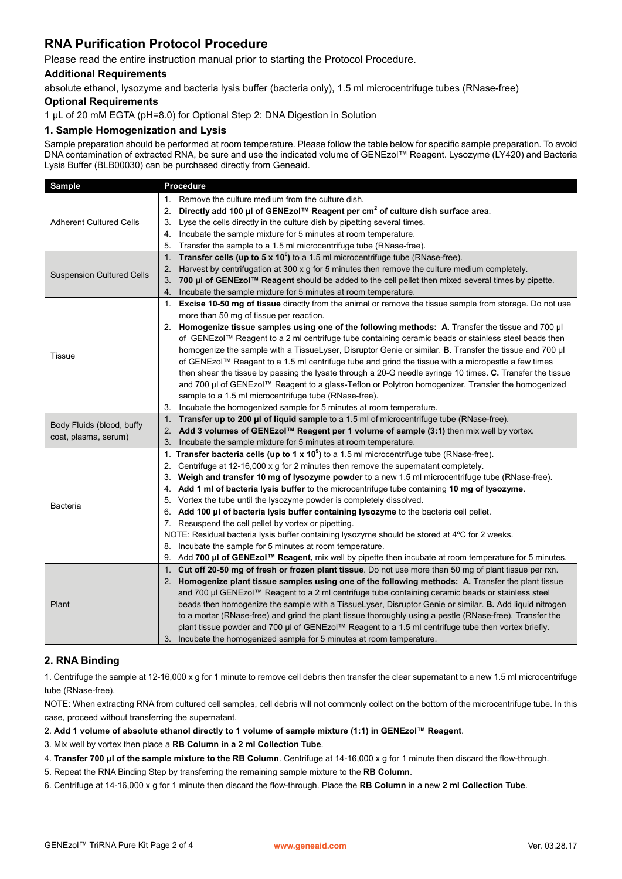### **RNA Purification Protocol Procedure**

Please read the entire instruction manual prior to starting the Protocol Procedure.

#### **Additional Requirements**

absolute ethanol, lysozyme and bacteria lysis buffer (bacteria only), 1.5 ml microcentrifuge tubes (RNase-free)

#### **Optional Requirements**

1 μL of 20 mM EGTA (pH=8.0) for Optional Step 2: DNA Digestion in Solution

#### **1. Sample Homogenization and Lysis**

Sample preparation should be performed at room temperature. Please follow the table below for specific sample preparation. To avoid DNA contamination of extracted RNA, be sure and use the indicated volume of GENEzol™ Reagent. Lysozyme (LY420) and Bacteria Lysis Buffer (BLB00030) can be purchased directly from Geneaid.

| <b>Sample</b>                    | Procedure                                                                                                         |  |  |  |  |
|----------------------------------|-------------------------------------------------------------------------------------------------------------------|--|--|--|--|
|                                  | Remove the culture medium from the culture dish.<br>1.                                                            |  |  |  |  |
|                                  | Directly add 100 µl of GENEzol™ Reagent per cm <sup>2</sup> of culture dish surface area.<br>2.                   |  |  |  |  |
| <b>Adherent Cultured Cells</b>   | Lyse the cells directly in the culture dish by pipetting several times.<br>3.                                     |  |  |  |  |
|                                  | Incubate the sample mixture for 5 minutes at room temperature.<br>4.                                              |  |  |  |  |
|                                  | Transfer the sample to a 1.5 ml microcentrifuge tube (RNase-free).<br>5.                                          |  |  |  |  |
|                                  | <b>Transfer cells (up to 5 x 10<sup>6</sup>)</b> to a 1.5 ml microcentrifuge tube (RNase-free).<br>1 <sub>1</sub> |  |  |  |  |
|                                  | Harvest by centrifugation at 300 x g for 5 minutes then remove the culture medium completely.<br>2.               |  |  |  |  |
| <b>Suspension Cultured Cells</b> | 700 µl of GENEzol™ Reagent should be added to the cell pellet then mixed several times by pipette.                |  |  |  |  |
|                                  | Incubate the sample mixture for 5 minutes at room temperature.<br>4.                                              |  |  |  |  |
|                                  | Excise 10-50 mg of tissue directly from the animal or remove the tissue sample from storage. Do not use<br>1.     |  |  |  |  |
|                                  | more than 50 mg of tissue per reaction.                                                                           |  |  |  |  |
|                                  | 2. Homogenize tissue samples using one of the following methods: A. Transfer the tissue and 700 µ                 |  |  |  |  |
|                                  | of GENEzol™ Reagent to a 2 ml centrifuge tube containing ceramic beads or stainless steel beads then              |  |  |  |  |
| Tissue                           | homogenize the sample with a TissueLyser, Disruptor Genie or similar. <b>B.</b> Transfer the tissue and 700 µl    |  |  |  |  |
|                                  | of GENEzol™ Reagent to a 1.5 ml centrifuge tube and grind the tissue with a micropestle a few times               |  |  |  |  |
|                                  | then shear the tissue by passing the lysate through a 20-G needle syringe 10 times. C. Transfer the tissue        |  |  |  |  |
|                                  | and 700 µl of GENEzol™ Reagent to a glass-Teflon or Polytron homogenizer. Transfer the homogenized                |  |  |  |  |
|                                  | sample to a 1.5 ml microcentrifuge tube (RNase-free).                                                             |  |  |  |  |
|                                  | 3. Incubate the homogenized sample for 5 minutes at room temperature.                                             |  |  |  |  |
| Body Fluids (blood, buffy        | Transfer up to 200 µl of liquid sample to a 1.5 ml of microcentrifuge tube (RNase-free).<br>1.                    |  |  |  |  |
| coat, plasma, serum)             | Add 3 volumes of GENEzol™ Reagent per 1 volume of sample (3:1) then mix well by vortex.<br>2.                     |  |  |  |  |
|                                  | Incubate the sample mixture for 5 minutes at room temperature.<br>3.                                              |  |  |  |  |
|                                  | 1. Transfer bacteria cells (up to 1 x 10 <sup>9</sup> ) to a 1.5 ml microcentrifuge tube (RNase-free).            |  |  |  |  |
|                                  | Centrifuge at 12-16,000 x g for 2 minutes then remove the supernatant completely.<br>2.                           |  |  |  |  |
|                                  | 3. Weigh and transfer 10 mg of lysozyme powder to a new 1.5 ml microcentrifuge tube (RNase-free).                 |  |  |  |  |
|                                  | 4. Add 1 ml of bacteria lysis buffer to the microcentrifuge tube containing 10 mg of lysozyme.                    |  |  |  |  |
| Bacteria                         | 5. Vortex the tube until the lysozyme powder is completely dissolved.                                             |  |  |  |  |
|                                  | 6. Add 100 µl of bacteria lysis buffer containing lysozyme to the bacteria cell pellet.                           |  |  |  |  |
|                                  | 7. Resuspend the cell pellet by vortex or pipetting.                                                              |  |  |  |  |
|                                  | NOTE: Residual bacteria lysis buffer containing lysozyme should be stored at 4°C for 2 weeks.                     |  |  |  |  |
|                                  | Incubate the sample for 5 minutes at room temperature.<br>8.                                                      |  |  |  |  |
|                                  | Add 700 µl of GENEzol™ Reagent, mix well by pipette then incubate at room temperature for 5 minutes.<br>9.        |  |  |  |  |
|                                  | Cut off 20-50 mg of fresh or frozen plant tissue. Do not use more than 50 mg of plant tissue per rxn.<br>1.       |  |  |  |  |
| Plant                            | Homogenize plant tissue samples using one of the following methods: A. Transfer the plant tissue                  |  |  |  |  |
|                                  | and 700 µl GENEzol™ Reagent to a 2 ml centrifuge tube containing ceramic beads or stainless steel                 |  |  |  |  |
|                                  | beads then homogenize the sample with a TissueLyser, Disruptor Genie or similar. B. Add liquid nitrogen           |  |  |  |  |
|                                  | to a mortar (RNase-free) and grind the plant tissue thoroughly using a pestle (RNase-free). Transfer the          |  |  |  |  |
|                                  | plant tissue powder and 700 µl of GENEzol™ Reagent to a 1.5 ml centrifuge tube then vortex briefly.               |  |  |  |  |
|                                  | 3. Incubate the homogenized sample for 5 minutes at room temperature.                                             |  |  |  |  |

#### **2. RNA Binding**

1. Centrifuge the sample at 12-16,000 x g for 1 minute to remove cell debris then transfer the clear supernatant to a new 1.5 ml microcentrifuge tube (RNase-free).

NOTE: When extracting RNA from cultured cell samples, cell debris will not commonly collect on the bottom of the microcentrifuge tube. In this case, proceed without transferring the supernatant.

2. **Add 1 volume of absolute ethanol directly to 1 volume of sample mixture (1:1) in GENEzol™ Reagent**.

3. Mix well by vortex then place a **RB Column in a 2 ml Collection Tube**.

4. **Transfer 700 μl of the sample mixture to the RB Column**. Centrifuge at 14-16,000 x g for 1 minute then discard the flow-through.

5. Repeat the RNA Binding Step by transferring the remaining sample mixture to the **RB Column**.

6. Centrifuge at 14-16,000 x g for 1 minute then discard the flow-through. Place the **RB Column** in a new **2 ml Collection Tube**.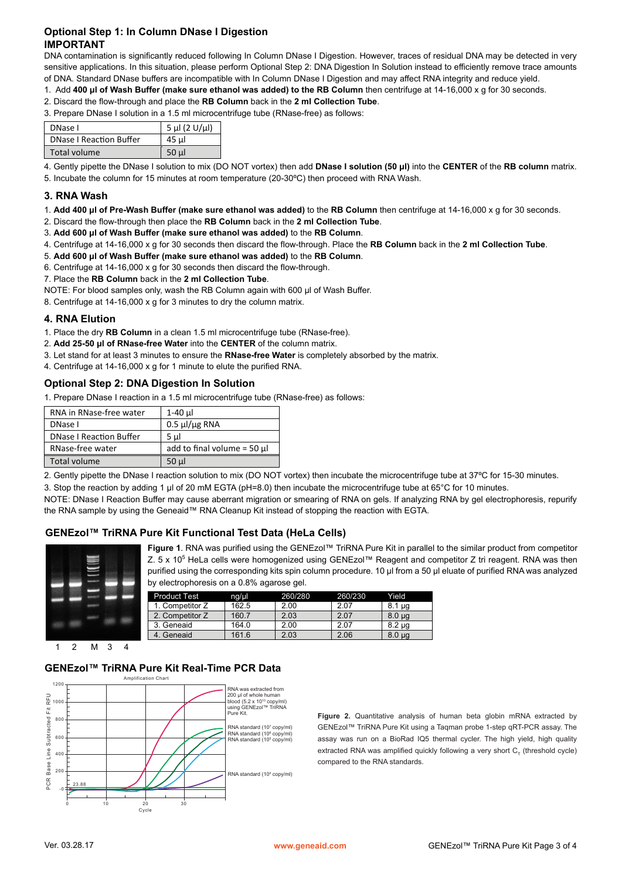#### **Optional Step 1: In Column DNase I Digestion IMPORTANT**

DNA contamination is significantly reduced following In Column DNase I Digestion. However, traces of residual DNA may be detected in very sensitive applications. In this situation, please perform Optional Step 2: DNA Digestion In Solution instead to efficiently remove trace amounts of DNA. Standard DNase buffers are incompatible with In Column DNase I Digestion and may affect RNA integrity and reduce yield.

1. Add **400 μl of Wash Buffer (make sure ethanol was added) to the RB Column** then centrifuge at 14-16,000 x g for 30 seconds.

2. Discard the flow-through and place the **RB Column** back in the **2 ml Collection Tube**.

3. Prepare DNase I solution in a 1.5 ml microcentrifuge tube (RNase-free) as follows:

| DNase I                        | $5 \mu$ l (2 U/ $\mu$ l) |
|--------------------------------|--------------------------|
| <b>DNase I Reaction Buffer</b> | 45 ul                    |
| Total volume                   | $50$ µ                   |

4. Gently pipette the DNase I solution to mix (DO NOT vortex) then add **DNase I solution (50 μl)** into the **CENTER** of the **RB column** matrix.

5. Incubate the column for 15 minutes at room temperature (20-30ºC) then proceed with RNA Wash.

#### **3. RNA Wash**

- 1. **Add 400 μl of Pre-Wash Buffer (make sure ethanol was added)** to the **RB Column** then centrifuge at 14-16,000 x g for 30 seconds.
- 2. Discard the flow-through then place the **RB Column** back in the **2 ml Collection Tube**.
- 3. **Add 600 μl of Wash Buffer (make sure ethanol was added)** to the **RB Column**.
- 4. Centrifuge at 14-16,000 x g for 30 seconds then discard the flow-through. Place the **RB Column** back in the **2 ml Collection Tube**.
- 5. **Add 600 μl of Wash Buffer (make sure ethanol was added)** to the **RB Column**.
- 6. Centrifuge at 14-16,000 x g for 30 seconds then discard the flow-through.
- 7. Place the **RB Column** back in the **2 ml Collection Tube**.
- NOTE: For blood samples only, wash the RB Column again with 600 μl of Wash Buffer.

8. Centrifuge at 14-16,000 x g for 3 minutes to dry the column matrix.

#### **4. RNA Elution**

- 1. Place the dry **RB Column** in a clean 1.5 ml microcentrifuge tube (RNase-free).
- 2. **Add 25-50 μl of RNase-free Water** into the **CENTER** of the column matrix.
- 3. Let stand for at least 3 minutes to ensure the **RNase-free Water** is completely absorbed by the matrix.
- 4. Centrifuge at 14-16,000 x g for 1 minute to elute the purified RNA.

#### **Optional Step 2: DNA Digestion In Solution**

1. Prepare DNase I reaction in a 1.5 ml microcentrifuge tube (RNase-free) as follows:

| RNA in RNase-free water        | 1-40 µl                          |  |  |
|--------------------------------|----------------------------------|--|--|
| DNase I                        | $0.5 \mu$ / $\mu$ g RNA          |  |  |
| <b>DNase I Reaction Buffer</b> | $5 \mu$                          |  |  |
| RNase-free water               | add to final volume = 50 $\mu$ l |  |  |
| Total volume                   | 50 µl                            |  |  |

2. Gently pipette the DNase I reaction solution to mix (DO NOT vortex) then incubate the microcentrifuge tube at 37ºC for 15-30 minutes.

3. Stop the reaction by adding 1 μl of 20 mM EGTA (pH=8.0) then incubate the microcentrifuge tube at 65°C for 10 minutes.

NOTE: DNase I Reaction Buffer may cause aberrant migration or smearing of RNA on gels. If analyzing RNA by gel electrophoresis, repurify the RNA sample by using the Geneaid™ RNA Cleanup Kit instead of stopping the reaction with EGTA.

#### **GENEzol™ TriRNA Pure Kit Functional Test Data (HeLa Cells)**



**Figure 1**. RNA was purified using the GENEzol™ TriRNA Pure Kit in parallel to the similar product from competitor Z. 5 x 10<sup>5</sup> HeLa cells were homogenized using GENEzol™ Reagent and competitor Z tri reagent. RNA was then purified using the corresponding kits spin column procedure. 10 µl from a 50 µl eluate of purified RNA was analyzed by electrophoresis on a 0.8% agarose gel.

| <b>Product Test</b> | ng/µl | 260/280 | 260/230 | Yield       |
|---------------------|-------|---------|---------|-------------|
| 1. Competitor Z     | 162.5 | 2.00    | 2.07    | $8.1 \mu q$ |
| 2. Competitor Z     | 160.7 | 2.03    | 2.07    | $8.0 \mu q$ |
| 3. Geneaid          | 164.0 | 2.00    | 2.07    | $8.2 \mu g$ |
| 4. Geneaid          | 161.6 | 2.03    | 2.06    | $8.0 \mu g$ |

1 2 M 3 4

#### **GENEzol™ TriRNA Pure Kit Real-Time PCR Data**



**Figure 2.** Quantitative analysis of human beta globin mRNA extracted by GENEzol™ TriRNA Pure Kit using a Taqman probe 1-step qRT-PCR assay. The assay was run on a BioRad IQ5 thermal cycler. The high yield, high quality extracted RNA was amplified quickly following a very short C<sub>z</sub> (threshold cycle) compared to the RNA standards.